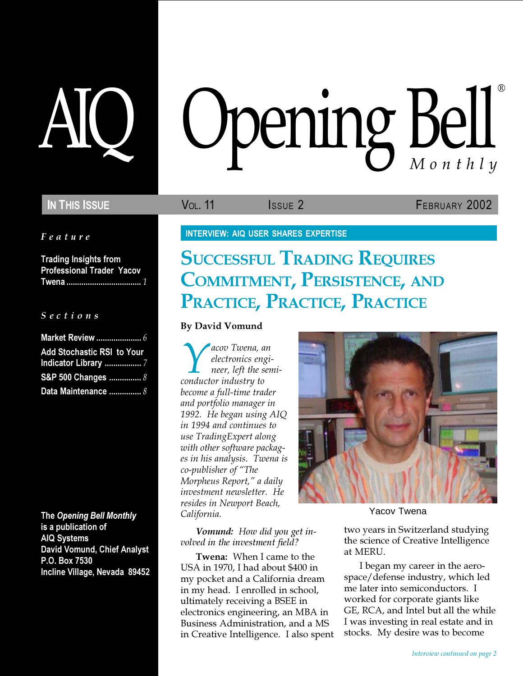Feature

Trading Insights from Professional Trader Yacov Twena ................................... 1

# S e c t i o n s

| <b>Add Stochastic RSI to Your</b> |
|-----------------------------------|
|                                   |
| S&P 500 Changes  8                |
| Data Maintenance  8               |

The Opening Bell Monthly is a publication of AIQ Systems David Vomund, Chief Analyst P.O. Box 7530 Incline Village, Nevada 89452

# AIQ Opening Bell Monthly ®

IN THIS ISSUE **VOL. 11** ISSUE 2 **FEBRUARY 2002** 

INTERVIEW: AIQ USER SHARES EXPERTISE

# **SUCCESSFUL TRADING REQUIRES** COMMITMENT, PERSISTENCE, AND PRACTICE, PRACTICE, PRACTICE

# By David Vomund

*Cacov Twena, an*<br> *dectronics engi*<br> *neer, left the ser*<br> *conductor industry to* electronics engineer, left the semibecome a full-time trader and portfolio manager in 1992. He began using AIQ in 1994 and continues to use TradingExpert along with other software packages in his analysis. Twena is co-publisher of "The Morpheus Report," a daily investment newsletter. He resides in Newport Beach, California.

Vomund: How did you get involved in the investment field?

Twena: When I came to the USA in 1970, I had about \$400 in my pocket and a California dream in my head. I enrolled in school, ultimately receiving a BSEE in electronics engineering, an MBA in Business Administration, and a MS in Creative Intelligence. I also spent



Yacov Twena

two years in Switzerland studying the science of Creative Intelligence at MERU.

I began my career in the aerospace/defense industry, which led me later into semiconductors. I worked for corporate giants like GE, RCA, and Intel but all the while I was investing in real estate and in stocks. My desire was to become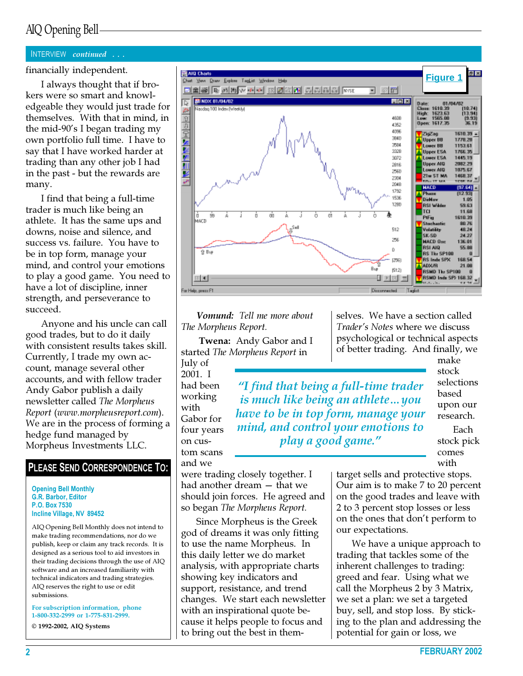# AIQ Opening Bell

## INTERVIEW continued . . .

financially independent.

I always thought that if brokers were so smart and knowledgeable they would just trade for themselves. With that in mind, in the mid-90's I began trading my own portfolio full time. I have to say that I have worked harder at trading than any other job I had in the past - but the rewards are many.

I find that being a full-time trader is much like being an athlete. It has the same ups and downs, noise and silence, and success vs. failure. You have to be in top form, manage your mind, and control your emotions to play a good game. You need to have a lot of discipline, inner strength, and perseverance to succeed.

Anyone and his uncle can call good trades, but to do it daily with consistent results takes skill. Currently, I trade my own account, manage several other accounts, and with fellow trader Andy Gabor publish a daily newsletter called The Morpheus Report (www.morpheusreport.com). We are in the process of forming a hedge fund managed by Morpheus Investments LLC.

# PLEASE SEND CORRESPONDENCE TO:

Opening Bell Monthly G.R. Barbor, Editor P.O. Box 7530 Incline Village, NV 89452

AIQ Opening Bell Monthly does not intend to make trading recommendations, nor do we publish, keep or claim any track records. It is designed as a serious tool to aid investors in their trading decisions through the use of AIQ software and an increased familiarity with technical indicators and trading strategies. AIQ reserves the right to use or edit submissions.

For subscription information, phone 1-800-332-2999 or 1-775-831-2999.

© 1992-2002, AIQ Systems



Vomund: Tell me more about The Morpheus Report.

Twena: Andy Gabor and I started The Morpheus Report in July of

2001. I had been working with Gabor for four years on custom scans and we

"I find that being a full-time trader is much like being an athlete…you have to be in top form, manage your mind, and control your emotions to play a good game."

selves. We have a section called Trader's Notes where we discuss psychological or technical aspects of better trading. And finally, we

> make stock selections based upon our research. Each stock pick comes

with

were trading closely together. I had another dream — that we should join forces. He agreed and so began The Morpheus Report.

Since Morpheus is the Greek god of dreams it was only fitting to use the name Morpheus. In this daily letter we do market analysis, with appropriate charts showing key indicators and support, resistance, and trend changes. We start each newsletter with an inspirational quote because it helps people to focus and to bring out the best in themtarget sells and protective stops. Our aim is to make 7 to 20 percent on the good trades and leave with 2 to 3 percent stop losses or less on the ones that don't perform to our expectations.

We have a unique approach to trading that tackles some of the inherent challenges to trading: greed and fear. Using what we call the Morpheus 2 by 3 Matrix, we set a plan: we set a targeted buy, sell, and stop loss. By sticking to the plan and addressing the potential for gain or loss, we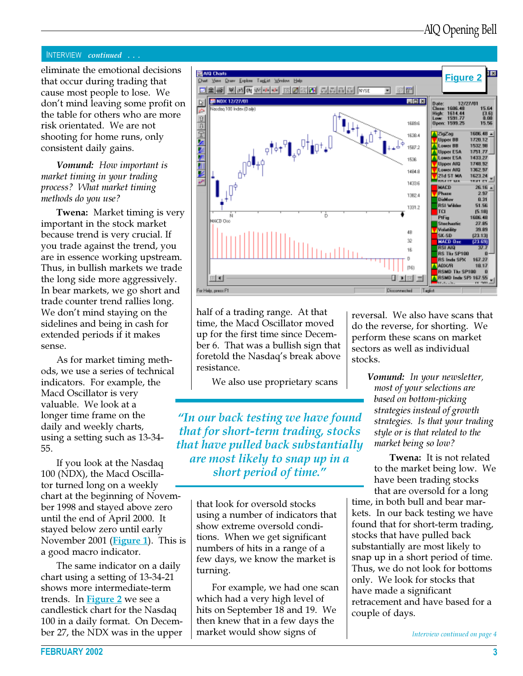# INTERVIEW continued . . .

eliminate the emotional decisions that occur during trading that cause most people to lose. We don't mind leaving some profit on the table for others who are more risk orientated. We are not shooting for home runs, only consistent daily gains.

# Vomund: How important is market timing in your trading process? What market timing methods do you use?

Twena: Market timing is very important in the stock market because trend is very crucial. If you trade against the trend, you are in essence working upstream. Thus, in bullish markets we trade the long side more aggressively. In bear markets, we go short and trade counter trend rallies long. We don't mind staying on the sidelines and being in cash for extended periods if it makes sense.

As for market timing methods, we use a series of technical indicators. For example, the Macd Oscillator is very valuable. We look at a longer time frame on the daily and weekly charts, using a setting such as 13-34- 55.

If you look at the Nasdaq 100 (NDX), the Macd Oscillator turned long on a weekly chart at the beginning of November 1998 and stayed above zero until the end of April 2000. It stayed below zero until early November 2001 (**Figure 1**). This is a good macro indicator.

The same indicator on a daily chart using a setting of 13-34-21 shows more intermediate-term trends. In **Figure 2** we see a candlestick chart for the Nasdaq 100 in a daily format. On December 27, the NDX was in the upper



half of a trading range. At that time, the Macd Oscillator moved up for the first time since December 6. That was a bullish sign that foretold the Nasdaq's break above resistance.

We also use proprietary scans

"In our back testing we have found that for short-term trading, stocks that have pulled back substantially are most likely to snap up in a short period of time."

> that look for oversold stocks using a number of indicators that show extreme oversold conditions. When we get significant numbers of hits in a range of a few days, we know the market is turning.

> For example, we had one scan which had a very high level of hits on September 18 and 19. We then knew that in a few days the market would show signs of

reversal. We also have scans that do the reverse, for shorting. We perform these scans on market sectors as well as individual stocks.

> Vomund: In your newsletter, most of your selections are based on bottom-picking strategies instead of growth strategies. Is that your trading style or is that related to the market being so low?

Twena: It is not related to the market being low. We have been trading stocks that are oversold for a long

time, in both bull and bear markets. In our back testing we have found that for short-term trading, stocks that have pulled back substantially are most likely to snap up in a short period of time. Thus, we do not look for bottoms only. We look for stocks that have made a significant retracement and have based for a couple of days.

Interview continued on page 4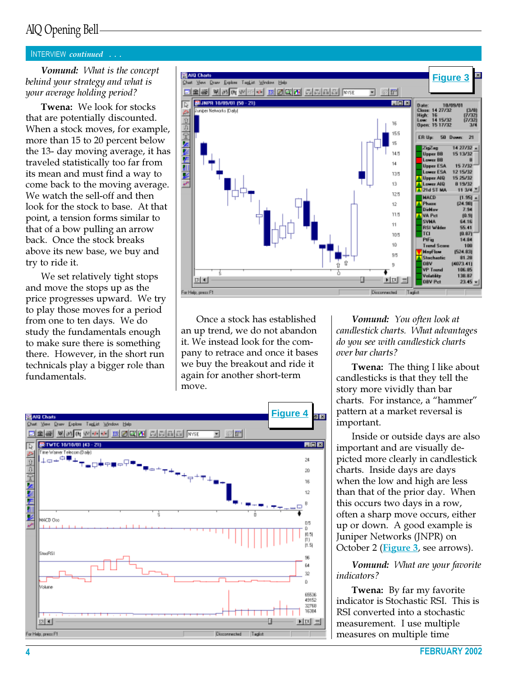# AIQ Opening Bell

# INTERVIEW continued . . .

Vomund: What is the concept behind your strategy and what is your average holding period?

Twena: We look for stocks that are potentially discounted. When a stock moves, for example, more than 15 to 20 percent below the 13- day moving average, it has traveled statistically too far from its mean and must find a way to come back to the moving average. We watch the sell-off and then look for the stock to base. At that point, a tension forms similar to that of a bow pulling an arrow back. Once the stock breaks above its new base, we buy and try to ride it.

We set relatively tight stops and move the stops up as the price progresses upward. We try to play those moves for a period from one to ten days. We do study the fundamentals enough to make sure there is something there. However, in the short run technicals play a bigger role than fundamentals.



Once a stock has established an up trend, we do not abandon it. We instead look for the company to retrace and once it bases we buy the breakout and ride it again for another short-term move.



Vomund: You often look at candlestick charts. What advantages do you see with candlestick charts over bar charts?

**Twena:** The thing I like about candlesticks is that they tell the story more vividly than bar charts. For instance, a "hammer" pattern at a market reversal is important.

Inside or outside days are also important and are visually depicted more clearly in candlestick charts. Inside days are days when the low and high are less than that of the prior day. When this occurs two days in a row, often a sharp move occurs, either up or down. A good example is Juniper Networks (JNPR) on October 2 (Figure 3, see arrows).

Vomund: What are your favorite indicators?

Twena: By far my favorite indicator is Stochastic RSI. This is RSI converted into a stochastic measurement. I use multiple measures on multiple time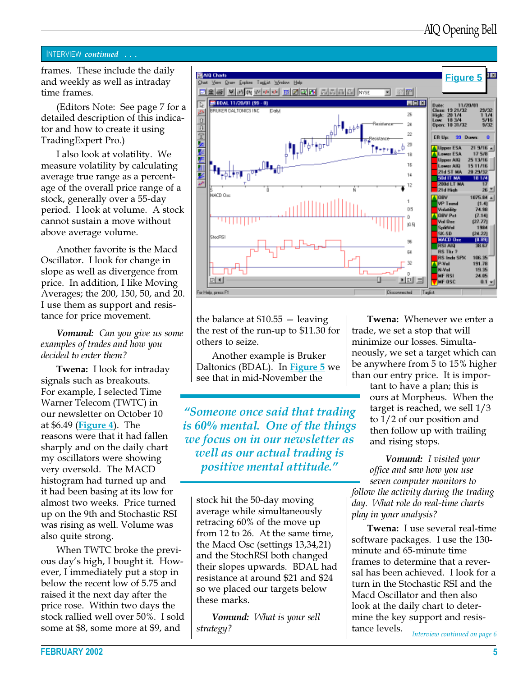# INTERVIEW continued . . .

and weekly as well as intraday time frames.

(Editors Note: See page 7 for a detailed description of this indicator and how to create it using TradingExpert Pro.)

I also look at volatility. We measure volatility by calculating average true range as a percentage of the overall price range of a stock, generally over a 55-day period. I look at volume. A stock cannot sustain a move without above average volume.

Another favorite is the Macd Oscillator. I look for change in slope as well as divergence from price. In addition, I like Moving Averages; the 200, 150, 50, and 20. I use them as support and resistance for price movement.

Vomund: Can you give us some examples of trades and how you decided to enter them?

**Twena:** I look for intraday signals such as breakouts. For example, I selected Time Warner Telecom (TWTC) in our newsletter on October 10 at \$6.49 (Figure 4). The reasons were that it had fallen sharply and on the daily chart my oscillators were showing very oversold. The MACD histogram had turned up and it had been basing at its low for almost two weeks. Price turned up on the 9th and Stochastic RSI was rising as well. Volume was also quite strong.

When TWTC broke the previous day's high, I bought it. However, I immediately put a stop in below the recent low of 5.75 and raised it the next day after the price rose. Within two days the stock rallied well over 50%. I sold some at \$8, some more at \$9, and



the balance at \$10.55 — leaving the rest of the run-up to \$11.30 for others to seize.

Another example is Bruker Daltonics (BDAL). In Figure 5 we see that in mid-November the

"Someone once said that trading is 60% mental. One of the things we focus on in our newsletter as well as our actual trading is positive mental attitude."

stock hit the 50-day moving average while simultaneously retracing 60% of the move up from 12 to 26. At the same time, the Macd Osc (settings 13,34,21) and the StochRSI both changed their slopes upwards. BDAL had resistance at around \$21 and \$24 so we placed our targets below these marks.

Vomund: What is your sell strategy?

Twena: Whenever we enter a trade, we set a stop that will minimize our losses. Simultaneously, we set a target which can be anywhere from 5 to 15% higher than our entry price. It is impor-

> tant to have a plan; this is ours at Morpheus. When the target is reached, we sell 1/3 to 1/2 of our position and then follow up with trailing and rising stops.

Vomund: I visited your office and saw how you use seven computer monitors to follow the activity during the trading day. What role do real-time charts play in your analysis?

Twena: I use several real-time software packages. I use the 130 minute and 65-minute time frames to determine that a reversal has been achieved. I look for a turn in the Stochastic RSI and the Macd Oscillator and then also look at the daily chart to determine the key support and resistance levels.

Interview continued on page 6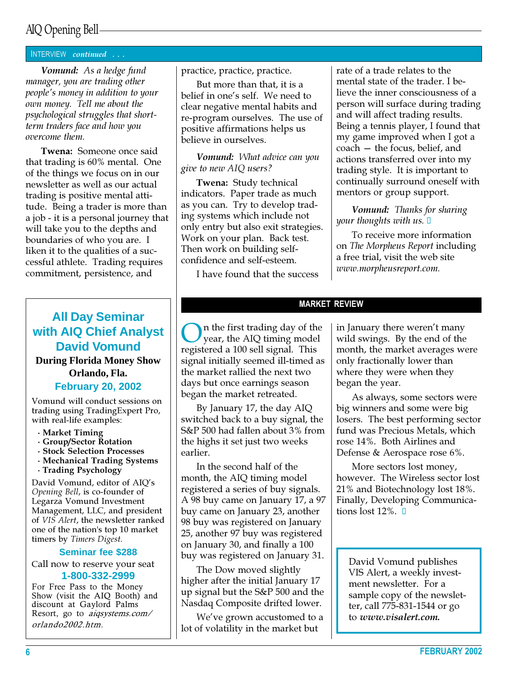# AIQ Opening Bell

# INTERVIEW continued . . .

Vomund: As a hedge fund manager, you are trading other people's money in addition to your own money. Tell me about the psychological struggles that shortterm traders face and how you overcome them.

Twena: Someone once said that trading is 60% mental. One of the things we focus on in our newsletter as well as our actual trading is positive mental attitude. Being a trader is more than a job - it is a personal journey that will take you to the depths and boundaries of who you are. I liken it to the qualities of a successful athlete. Trading requires commitment, persistence, and

# **All Day Seminar with AIQ Chief Analyst David Vomund During Florida Money Show Orlando, Fla. February 20, 2002**

Vomund will conduct sessions on trading using TradingExpert Pro, with real-life examples:

- · Market Timing
- · Group/Sector Rotation
- · Stock Selection Processes
- · Mechanical Trading Systems
- · Trading Psychology

David Vomund, editor of AIQ's Opening Bell, is co-founder of Legarza Vomund Investment Management, LLC, and president of VIS Alert, the newsletter ranked one of the nation's top 10 market timers by Timers Digest.

#### **Seminar fee \$288**

Call now to reserve your seat **1-800-332-2999**

For Free Pass to the Money Show (visit the AIQ Booth) and discount at Gaylord Palms Resort, go to aiqsystems.com/ orlando2002.htm.

practice, practice, practice.

But more than that, it is a belief in one's self. We need to clear negative mental habits and re-program ourselves. The use of positive affirmations helps us believe in ourselves.

Vomund: What advice can you give to new AIQ users?

Twena: Study technical indicators. Paper trade as much as you can. Try to develop trading systems which include not only entry but also exit strategies. Work on your plan. Back test. Then work on building selfconfidence and self-esteem.

I have found that the success

rate of a trade relates to the mental state of the trader. I believe the inner consciousness of a person will surface during trading and will affect trading results. Being a tennis player, I found that my game improved when I got a coach — the focus, belief, and actions transferred over into my trading style. It is important to continually surround oneself with mentors or group support.

Vomund: Thanks for sharing your thoughts with us.  $\square$ 

To receive more information on The Morpheus Report including a free trial, visit the web site www.morpheusreport.com.

## MARKET REVIEW

On the first trading day of the<br>year, the AIQ timing model<br>registered a 100 cell signal. This registered a 100 sell signal. This signal initially seemed ill-timed as the market rallied the next two days but once earnings season began the market retreated.

By January 17, the day AIQ switched back to a buy signal, the S&P 500 had fallen about 3% from the highs it set just two weeks earlier.

In the second half of the month, the AIQ timing model registered a series of buy signals. A 98 buy came on January 17, a 97 buy came on January 23, another 98 buy was registered on January 25, another 97 buy was registered on January 30, and finally a 100 buy was registered on January 31.

The Dow moved slightly higher after the initial January 17 up signal but the S&P 500 and the Nasdaq Composite drifted lower.

We've grown accustomed to a lot of volatility in the market but

in January there weren't many wild swings. By the end of the month, the market averages were only fractionally lower than where they were when they began the year.

As always, some sectors were big winners and some were big losers. The best performing sector fund was Precious Metals, which rose 14%. Both Airlines and Defense & Aerospace rose 6%.

More sectors lost money, however. The Wireless sector lost 21% and Biotechnology lost 18%. Finally, Developing Communications lost  $12\%$ .  $\Box$ 

David Vomund publishes VIS Alert, a weekly investment newsletter. For a sample copy of the newsletter, call 775-831-1544 or go to www.visalert.com.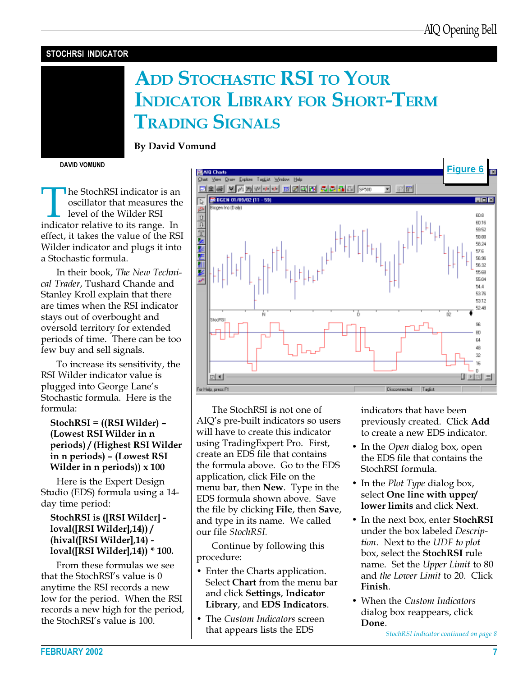# STOCHRSI INDICATOR

# ADD STOCHASTIC RSI TO YOUR INDICATOR LIBRARY FOR SHORT-TERM TRADING SIGNALS

DAVID VOMUND

Indicator is an oscillator that measures the level of the Wilder RSI indicator relative to its range. In oscillator that measures the level of the Wilder RSI effect, it takes the value of the RSI Wilder indicator and plugs it into a Stochastic formula.

By David Vomund

In their book, The New Technical Trader, Tushard Chande and Stanley Kroll explain that there are times when the RSI indicator stays out of overbought and oversold territory for extended periods of time. There can be too few buy and sell signals.

To increase its sensitivity, the RSI Wilder indicator value is plugged into George Lane's Stochastic formula. Here is the formula:

# StochRSI = ((RSI Wilder) – (Lowest RSI Wilder in n periods) / (Highest RSI Wilder in n periods) – (Lowest RSI Wilder in n periods))  $\times 100$

Here is the Expert Design Studio (EDS) formula using a 14 day time period:

# StochRSI is ([RSI Wilder] loval([RSI Wilder],14)) / (hival([RSI Wilder],14) loval([RSI Wilder],14)) \* 100.

From these formulas we see that the StochRSI's value is 0 anytime the RSI records a new low for the period. When the RSI records a new high for the period, the StochRSI's value is 100.



The StochRSI is not one of AIQ's pre-built indicators so users will have to create this indicator using TradingExpert Pro. First, create an EDS file that contains the formula above. Go to the EDS application, click File on the menu bar, then New. Type in the EDS formula shown above. Save the file by clicking File, then Save, and type in its name. We called our file StochRSI.

Continue by following this procedure:

- Enter the Charts application. Select Chart from the menu bar and click Settings, Indicator Library, and EDS Indicators.
- The Custom Indicators screen that appears lists the EDS

indicators that have been previously created. Click Add to create a new EDS indicator.

- In the *Open* dialog box, open the EDS file that contains the StochRSI formula.
- In the *Plot Type* dialog box, select One line with upper/ lower limits and click Next.
- In the next box, enter **StochRSI** under the box labeled Description. Next to the UDF to plot box, select the StochRSI rule name. Set the Upper Limit to 80 and the Lower Limit to 20. Click Finish.
- When the Custom Indicators dialog box reappears, click Done.

StochRSI Indicator continued on page 8